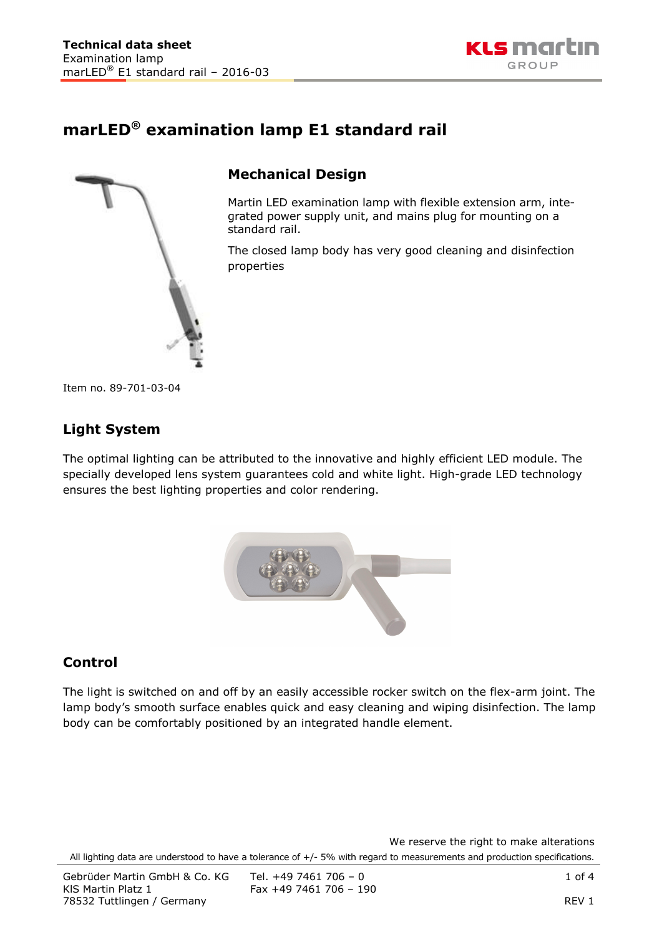

# **marLED® examination lamp E1 standard rail**



## **Mechanical Design**

Martin LED examination lamp with flexible extension arm, integrated power supply unit, and mains plug for mounting on a standard rail.

The closed lamp body has very good cleaning and disinfection properties

Item no. 89-701-03-04

### **Light System**

The optimal lighting can be attributed to the innovative and highly efficient LED module. The specially developed lens system guarantees cold and white light. High-grade LED technology ensures the best lighting properties and color rendering.



### **Control**

The light is switched on and off by an easily accessible rocker switch on the flex-arm joint. The lamp body's smooth surface enables quick and easy cleaning and wiping disinfection. The lamp body can be comfortably positioned by an integrated handle element.

We reserve the right to make alterations All lighting data are understood to have a tolerance of +/- 5% with regard to measurements and production specifications.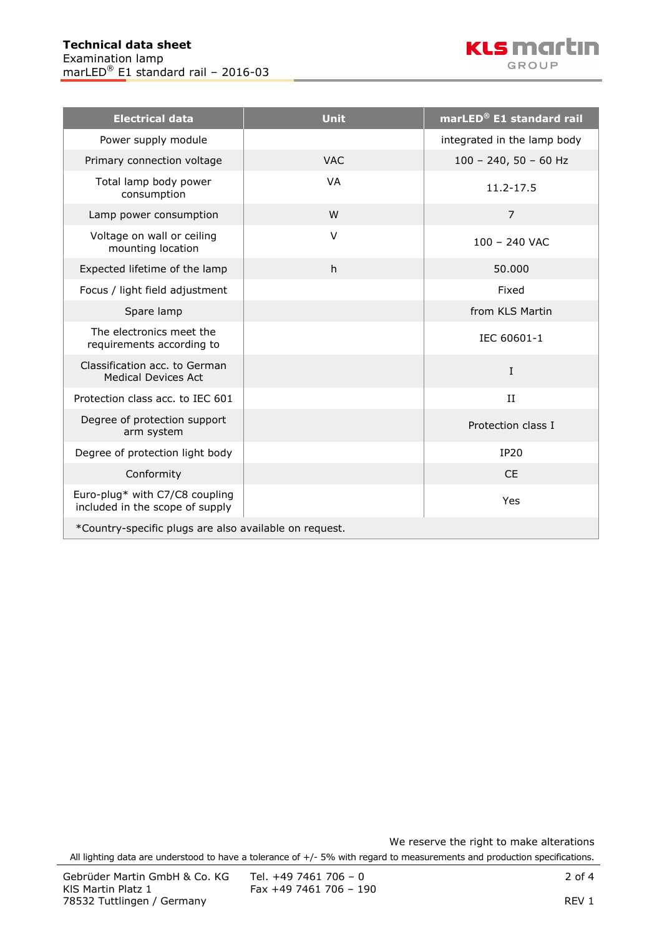

| <b>Electrical data</b>                                            | <b>Unit</b> | marLED <sup>®</sup> E1 standard rail |  |  |
|-------------------------------------------------------------------|-------------|--------------------------------------|--|--|
| Power supply module                                               |             | integrated in the lamp body          |  |  |
| Primary connection voltage                                        | <b>VAC</b>  | $100 - 240$ , 50 - 60 Hz             |  |  |
| Total lamp body power<br>consumption                              | VA          | 11.2-17.5                            |  |  |
| Lamp power consumption                                            | W           | $\overline{7}$                       |  |  |
| Voltage on wall or ceiling<br>mounting location                   | $\vee$      | $100 - 240$ VAC                      |  |  |
| Expected lifetime of the lamp                                     | h           | 50,000                               |  |  |
| Focus / light field adjustment                                    |             | Fixed                                |  |  |
| Spare lamp                                                        |             | from KLS Martin                      |  |  |
| The electronics meet the<br>requirements according to             |             | IEC 60601-1                          |  |  |
| Classification acc. to German<br><b>Medical Devices Act</b>       |             | I                                    |  |  |
| Protection class acc. to IEC 601                                  |             | II                                   |  |  |
| Degree of protection support<br>arm system                        |             | Protection class I                   |  |  |
| Degree of protection light body                                   |             | <b>IP20</b>                          |  |  |
| Conformity                                                        |             | <b>CE</b>                            |  |  |
| Euro-plug* with C7/C8 coupling<br>included in the scope of supply |             | Yes                                  |  |  |
| *Country-specific plugs are also available on request.            |             |                                      |  |  |

We reserve the right to make alterations

All lighting data are understood to have a tolerance of +/- 5% with regard to measurements and production specifications.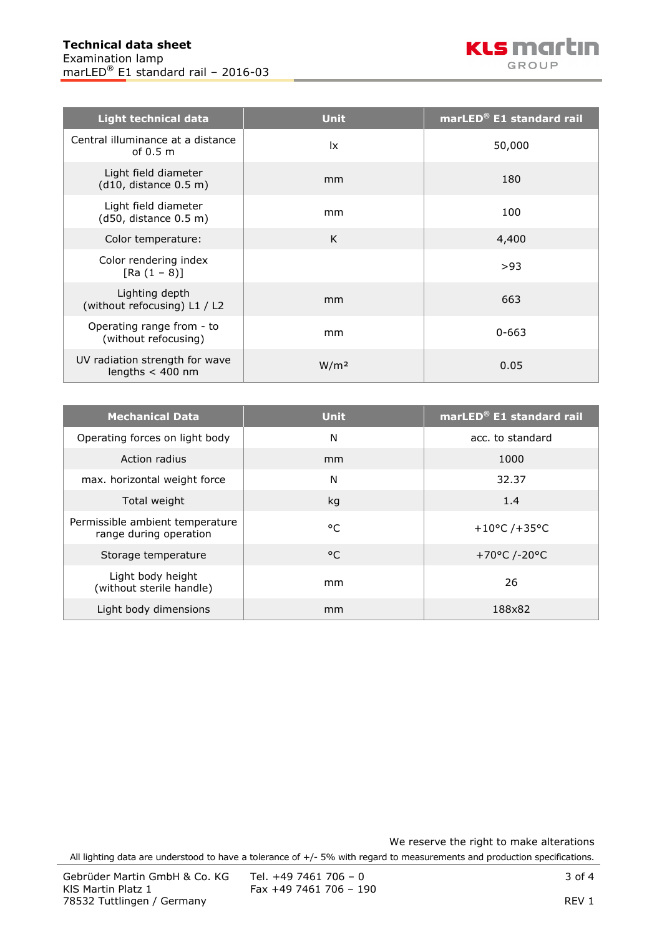| <b>Light technical data</b>                          | <b>Unit</b>      | marLED® E1 standard rail |
|------------------------------------------------------|------------------|--------------------------|
| Central illuminance at a distance<br>of $0.5m$       | 1x               | 50,000                   |
| Light field diameter<br>(d10, distance 0.5 m)        | mm               | 180                      |
| Light field diameter<br>(d50, distance 0.5 m)        | mm               | 100                      |
| Color temperature:                                   | K                | 4,400                    |
| Color rendering index<br>$[Ra (1 - 8)]$              |                  | >93                      |
| Lighting depth<br>(without refocusing) L1 / L2       | mm               | 663                      |
| Operating range from - to<br>(without refocusing)    | mm               | $0 - 663$                |
| UV radiation strength for wave<br>lengths $<$ 400 nm | W/m <sup>2</sup> | 0.05                     |

| <b>Mechanical Data</b>                                    | <b>Unit</b>  | marLED <sup>®</sup> E1 standard rail |
|-----------------------------------------------------------|--------------|--------------------------------------|
| Operating forces on light body                            | N            | acc. to standard                     |
| Action radius                                             | mm           | 1000                                 |
| max. horizontal weight force                              | N            | 32.37                                |
| Total weight                                              | kg           | 1.4                                  |
| Permissible ambient temperature<br>range during operation | $^{\circ}$ C | $+10^{\circ}$ C /+35°C               |
| Storage temperature                                       | $^{\circ}$ C | +70°C /-20°C                         |
| Light body height<br>(without sterile handle)             | mm           | 26                                   |
| Light body dimensions                                     | mm           | 188x82                               |

We reserve the right to make alterations

All lighting data are understood to have a tolerance of +/- 5% with regard to measurements and production specifications.